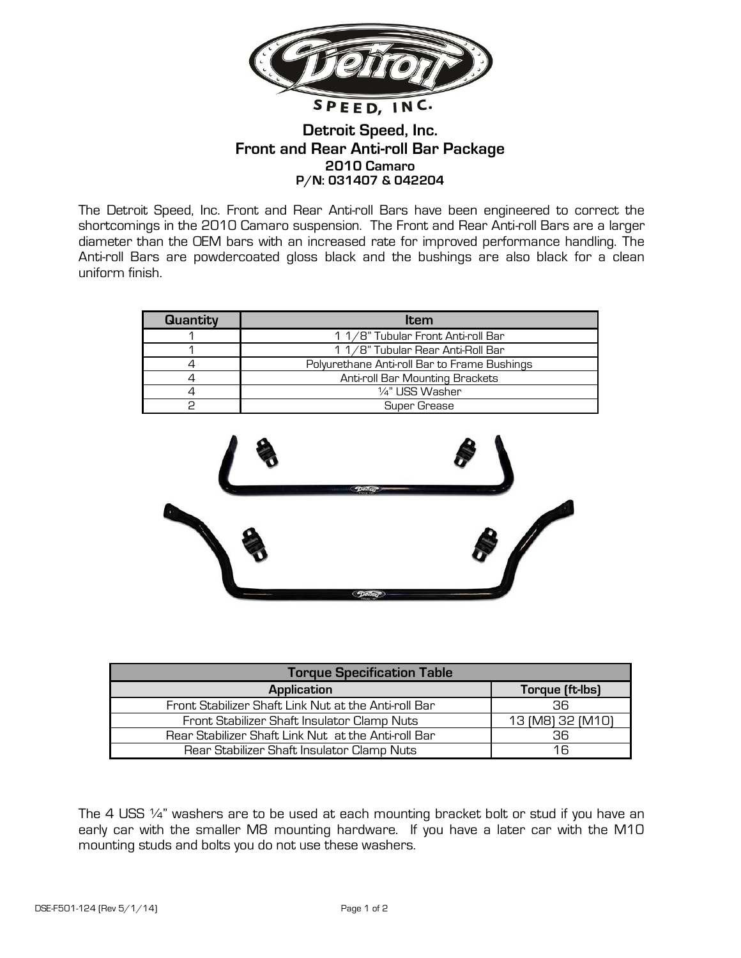

## **Detroit Speed, Inc. Front and Rear Anti-roll Bar Package 2010 Camaro P/N: 031407 & 042204**

The Detroit Speed, Inc. Front and Rear Anti-roll Bars have been engineered to correct the shortcomings in the 2010 Camaro suspension. The Front and Rear Anti-roll Bars are a larger diameter than the OEM bars with an increased rate for improved performance handling. The Anti-roll Bars are powdercoated gloss black and the bushings are also black for a clean uniform finish.

| <b>Quantity</b> | Item                                         |  |
|-----------------|----------------------------------------------|--|
|                 | 1 1/8" Tubular Front Anti-roll Bar           |  |
|                 | 1 1/8" Tubular Rear Anti-Roll Bar            |  |
|                 | Polyurethane Anti-roll Bar to Frame Bushings |  |
|                 | Anti-roll Bar Mounting Brackets              |  |
|                 | 1⁄4" USS Washer                              |  |
|                 | <b>Super Grease</b>                          |  |



| <b>Torque Specification Table</b>                    |                  |  |  |
|------------------------------------------------------|------------------|--|--|
| <b>Application</b>                                   | Torque (ft-lbs)  |  |  |
| Front Stabilizer Shaft Link Nut at the Anti-roll Bar | 36.              |  |  |
| Front Stabilizer Shaft Insulator Clamp Nuts          | 13 (M8) 32 (M10) |  |  |
| Rear Stabilizer Shaft Link Nut at the Anti-roll Bar  | 36.              |  |  |
| Rear Stabilizer Shaft Insulator Clamp Nuts           | 16               |  |  |

The 4 USS 1/4" washers are to be used at each mounting bracket bolt or stud if you have an early car with the smaller M8 mounting hardware. If you have a later car with the M10 mounting studs and bolts you do not use these washers.